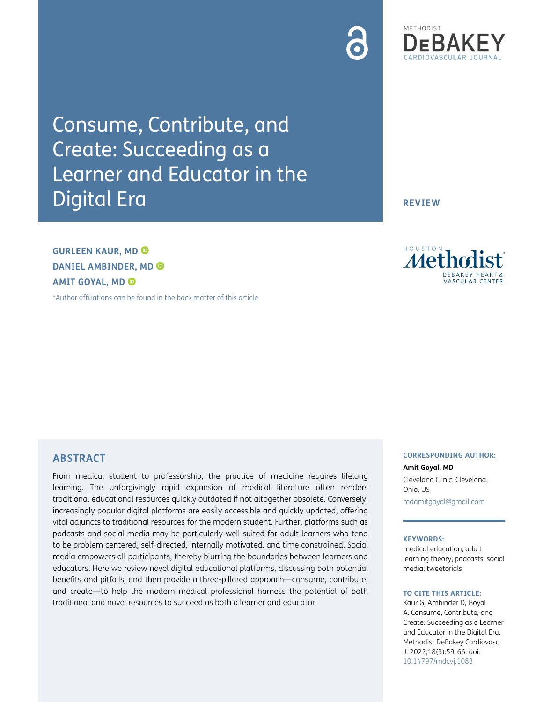Consume, Contribute, and Create: Succeeding as a Learner and Educator in the Digital Era

**GURLEEN KAUR, MD DANIEL AMBINDER, MD AMIT GOYAL, MD** 

**ABSTRACT**

[\\*Author affiliations can be found in the back matter of this article](#page-6-0)

From medical student to professorship, the practice of medicine requires lifelong learning. The unforgivingly rapid expansion of medical literature often renders traditional educational resources quickly outdated if not altogether obsolete. Conversely, increasingly popular digital platforms are easily accessible and quickly updated, offering vital adjuncts to traditional resources for the modern student. Further, platforms such as podcasts and social media may be particularly well suited for adult learners who tend to be problem centered, self-directed, internally motivated, and time constrained. Social media empowers all participants, thereby blurring the boundaries between learners and educators. Here we review novel digital educational platforms, discussing both potential benefits and pitfalls, and then provide a three-pillared approach—consume, contribute, and create—to help the modern medical professional harness the potential of both traditional and novel resources to succeed as both a learner and educator.

#### **CORRESPONDING AUTHOR: Amit Goyal, MD**

Cleveland Clinic, Cleveland, Ohio, US

[mdamitgoyal@gmail.com](mailto:mdamitgoyal@gmail.com)

#### **KEYWORDS:**

medical education; adult learning theory; podcasts; social media; tweetorials

#### **TO CITE THIS ARTICLE:**

Kaur G, Ambinder D, Goyal A. Consume, Contribute, and Create: Succeeding as a Learner and Educator in the Digital Era. Methodist DeBakey Cardiovasc J. 2022;18(3):59-66. doi: [10.14797/mdcvj.1083](https://doi.org/10.14797/mdcvj.1083)

# METHODIST

**REVIEW**



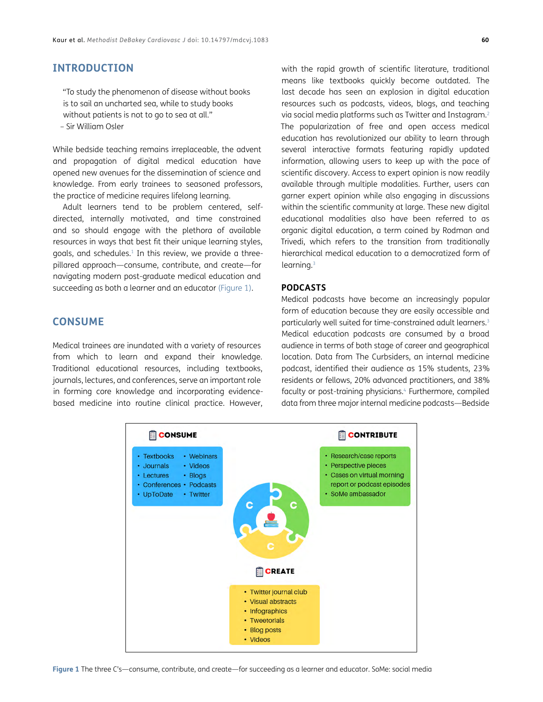## **INTRODUCTION**

"To study the phenomenon of disease without books is to sail an uncharted sea, while to study books without patients is not to go to sea at all." – Sir William Osler

While bedside teaching remains irreplaceable, the advent and propagation of digital medical education have opened new avenues for the dissemination of science and knowledge. From early trainees to seasoned professors, the practice of medicine requires lifelong learning.

Adult learners tend to be problem centered, selfdirected, internally motivated, and time constrained and so should engage with the plethora of available resources in ways that best fit their unique learning styles, goals, and schedules.<sup>1</sup> In this review, we provide a threepillared approach—consume, contribute, and create—for navigating modern post-graduate medical education and succeeding as both a learner and an educator [\(Figure 1\)](#page-1-0).

#### **CONSUME**

Medical trainees are inundated with a variety of resources from which to learn and expand their knowledge. Traditional educational resources, including textbooks, journals, lectures, and conferences, serve an important role in forming core knowledge and incorporating evidencebased medicine into routine clinical practice. However,

with the rapid growth of scientific literature, traditional means like textbooks quickly become outdated. The last decade has seen an explosion in digital education resources such as podcasts, videos, blogs, and teaching via social media platforms such as Twitter and Instagram[.2](#page-6-2) The popularization of free and open access medical education has revolutionized our ability to learn through several interactive formats featuring rapidly updated information, allowing users to keep up with the pace of scientific discovery. Access to expert opinion is now readily available through multiple modalities. Further, users can garner expert opinion while also engaging in discussions within the scientific community at large. These new digital educational modalities also have been referred to as organic digital education, a term coined by Rodman and Trivedi, which refers to the transition from traditionally hierarchical medical education to a democratized form of learning.<sup>[3](#page-6-3)</sup>

#### **PODCASTS**

Medical podcasts have become an increasingly popular form of education because they are easily accessible and particularly well suited for time-constrained adult learners.<sup>3</sup> Medical education podcasts are consumed by a broad audience in terms of both stage of career and geographical location. Data from The Curbsiders, an internal medicine podcast, identified their audience as 15% students, 23% residents or fellows, 20% advanced practitioners, and 38% faculty or post-training physicians.<sup>4</sup> Furthermore, compiled data from three major internal medicine podcasts—Bedside

<span id="page-1-0"></span>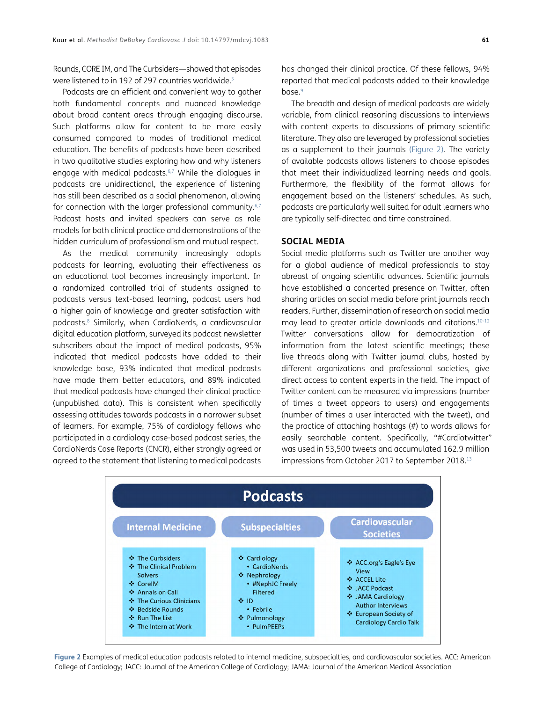Rounds, CORE IM, and The Curbsiders—showed that episodes were listened to in 192 of 297 countries worldwide.<sup>[5](#page-6-5)</sup>

Podcasts are an efficient and convenient way to gather both fundamental concepts and nuanced knowledge about broad content areas through engaging discourse. Such platforms allow for content to be more easily consumed compared to modes of traditional medical education. The benefits of podcasts have been described in two qualitative studies exploring how and why listeners engage with medical podcasts. $6,7$  While the dialogues in podcasts are unidirectional, the experience of listening has still been described as a social phenomenon, allowing for connection with the larger professional community.<sup>6,[7](#page-6-7)</sup> Podcast hosts and invited speakers can serve as role models for both clinical practice and demonstrations of the hidden curriculum of professionalism and mutual respect.

As the medical community increasingly adopts podcasts for learning, evaluating their effectiveness as an educational tool becomes increasingly important. In a randomized controlled trial of students assigned to podcasts versus text-based learning, podcast users had a higher gain of knowledge and greater satisfaction with podcasts[.8](#page-6-8) Similarly, when CardioNerds, a cardiovascular digital education platform, surveyed its podcast newsletter subscribers about the impact of medical podcasts, 95% indicated that medical podcasts have added to their knowledge base, 93% indicated that medical podcasts have made them better educators, and 89% indicated that medical podcasts have changed their clinical practice (unpublished data). This is consistent when specifically assessing attitudes towards podcasts in a narrower subset of learners. For example, 75% of cardiology fellows who participated in a cardiology case-based podcast series, the CardioNerds Case Reports (CNCR), either strongly agreed or agreed to the statement that listening to medical podcasts has changed their clinical practice. Of these fellows, 94% reported that medical podcasts added to their knowledge base.<sup>9</sup>

The breadth and design of medical podcasts are widely variable, from clinical reasoning discussions to interviews with content experts to discussions of primary scientific literature. They also are leveraged by professional societies as a supplement to their journals [\(Figure 2\)](#page-2-0). The variety of available podcasts allows listeners to choose episodes that meet their individualized learning needs and goals. Furthermore, the flexibility of the format allows for engagement based on the listeners' schedules. As such, podcasts are particularly well suited for adult learners who are typically self-directed and time constrained.

#### **SOCIAL MEDIA**

Social media platforms such as Twitter are another way for a global audience of medical professionals to stay abreast of ongoing scientific advances. Scientific journals have established a concerted presence on Twitter, often sharing articles on social media before print journals reach readers. Further, dissemination of research on social media may lead to greater article downloads and citations[.10](#page-7-1)[-12](#page-7-2) Twitter conversations allow for democratization of information from the latest scientific meetings; these live threads along with Twitter journal clubs, hosted by different organizations and professional societies, give direct access to content experts in the field. The impact of Twitter content can be measured via impressions (number of times a tweet appears to users) and engagements (number of times a user interacted with the tweet), and the practice of attaching hashtags (#) to words allows for easily searchable content. Specifically, "#Cardiotwitter" was used in 53,500 tweets and accumulated 162.9 million impressions from October 2017 to September 2018.<sup>13</sup>



<span id="page-2-0"></span>**Figure 2** Examples of medical education podcasts related to internal medicine, subspecialties, and cardiovascular societies. ACC: American College of Cardiology; JACC: Journal of the American College of Cardiology; JAMA: Journal of the American Medical Association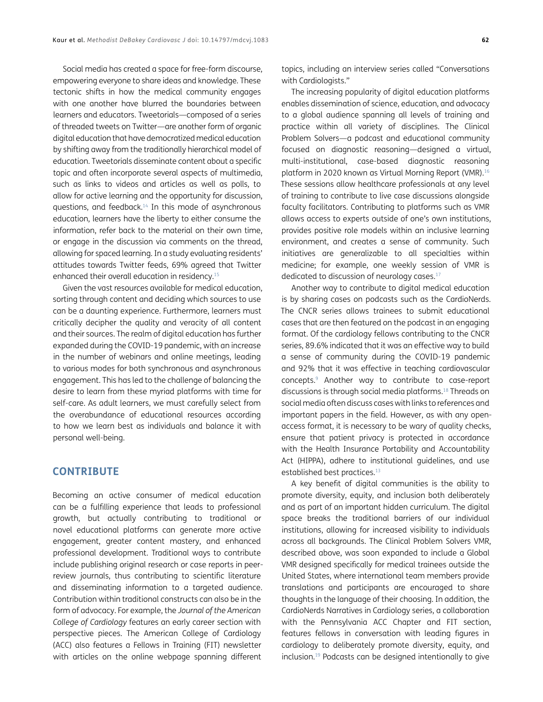Social media has created a space for free-form discourse, empowering everyone to share ideas and knowledge. These tectonic shifts in how the medical community engages with one another have blurred the boundaries between learners and educators. Tweetorials—composed of a series of threaded tweets on Twitter—are another form of organic digital education that have democratized medical education by shifting away from the traditionally hierarchical model of education. Tweetorials disseminate content about a specific topic and often incorporate several aspects of multimedia, such as links to videos and articles as well as polls, to allow for active learning and the opportunity for discussion, questions, and feedback[.14](#page-7-4) In this mode of asynchronous education, learners have the liberty to either consume the information, refer back to the material on their own time, or engage in the discussion via comments on the thread, allowing for spaced learning. In a study evaluating residents' attitudes towards Twitter feeds, 69% agreed that Twitter enhanced their overall education in residency[.15](#page-7-5)

Given the vast resources available for medical education, sorting through content and deciding which sources to use can be a daunting experience. Furthermore, learners must critically decipher the quality and veracity of all content and their sources. The realm of digital education has further expanded during the COVID-19 pandemic, with an increase in the number of webinars and online meetings, leading to various modes for both synchronous and asynchronous engagement. This has led to the challenge of balancing the desire to learn from these myriad platforms with time for self-care. As adult learners, we must carefully select from the overabundance of educational resources according to how we learn best as individuals and balance it with personal well-being.

## **CONTRIBUTE**

Becoming an active consumer of medical education can be a fulfilling experience that leads to professional growth, but actually contributing to traditional or novel educational platforms can generate more active engagement, greater content mastery, and enhanced professional development. Traditional ways to contribute include publishing original research or case reports in peerreview journals, thus contributing to scientific literature and disseminating information to a targeted audience. Contribution within traditional constructs can also be in the form of advocacy. For example, the *Journal of the American College of Cardiology* features an early career section with perspective pieces. The American College of Cardiology (ACC) also features a Fellows in Training (FIT) newsletter with articles on the online webpage spanning different

topics, including an interview series called "Conversations with Cardiologists."

The increasing popularity of digital education platforms enables dissemination of science, education, and advocacy to a global audience spanning all levels of training and practice within all variety of disciplines. The Clinical Problem Solvers—a podcast and educational community focused on diagnostic reasoning—designed a virtual, multi-institutional, case-based diagnostic reasoning platform in 2020 known as Virtual Morning Report (VMR)[.16](#page-7-6) These sessions allow healthcare professionals at any level of training to contribute to live case discussions alongside faculty facilitators. Contributing to platforms such as VMR allows access to experts outside of one's own institutions, provides positive role models within an inclusive learning environment, and creates a sense of community. Such initiatives are generalizable to all specialties within medicine; for example, one weekly session of VMR is dedicated to discussion of neurology cases.<sup>17</sup>

Another way to contribute to digital medical education is by sharing cases on podcasts such as the CardioNerds. The CNCR series allows trainees to submit educational cases that are then featured on the podcast in an engaging format. Of the cardiology fellows contributing to the CNCR series, 89.6% indicated that it was an effective way to build a sense of community during the COVID-19 pandemic and 92% that it was effective in teaching cardiovascular concepts.[9](#page-7-0) Another way to contribute to case-report discussions is through social media platforms.[18](#page-7-7) Threads on social media often discuss cases with links to references and important papers in the field. However, as with any openaccess format, it is necessary to be wary of quality checks, ensure that patient privacy is protected in accordance with the Health Insurance Portability and Accountability Act (HIPPA), adhere to institutional guidelines, and use established best practices.<sup>13</sup>

A key benefit of digital communities is the ability to promote diversity, equity, and inclusion both deliberately and as part of an important hidden curriculum. The digital space breaks the traditional barriers of our individual institutions, allowing for increased visibility to individuals across all backgrounds. The Clinical Problem Solvers VMR, described above, was soon expanded to include a Global VMR designed specifically for medical trainees outside the United States, where international team members provide translations and participants are encouraged to share thoughts in the language of their choosing. In addition, the CardioNerds Narratives in Cardiology series, a collaboration with the Pennsylvania ACC Chapter and FIT section, features fellows in conversation with leading figures in cardiology to deliberately promote diversity, equity, and inclusion[.19](#page-7-8) Podcasts can be designed intentionally to give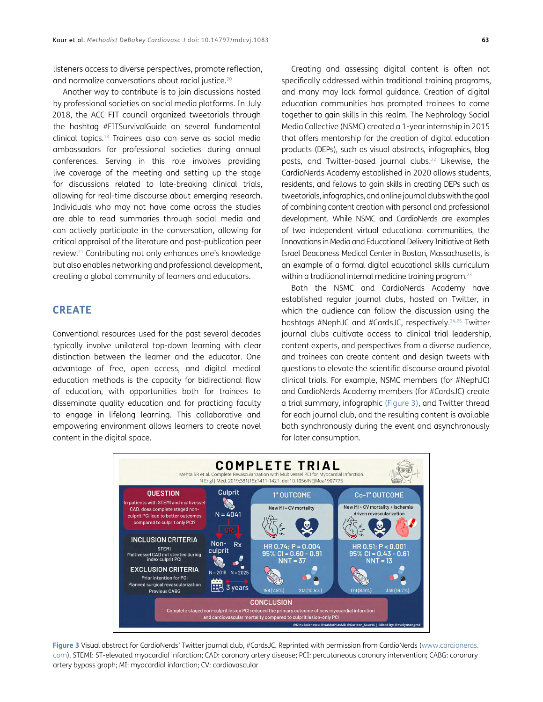listeners access to diverse perspectives, promote reflection, and normalize conversations about racial justice.[20](#page-7-9)

Another way to contribute is to join discussions hosted by professional societies on social media platforms. In July 2018, the ACC FIT council organized tweetorials through the hashtag #FITSurvivalGuide on several fundamental clinical topics[.13](#page-7-3) Trainees also can serve as social media ambassadors for professional societies during annual conferences. Serving in this role involves providing live coverage of the meeting and setting up the stage for discussions related to late-breaking clinical trials, allowing for real-time discourse about emerging research. Individuals who may not have come across the studies are able to read summaries through social media and can actively participate in the conversation, allowing for critical appraisal of the literature and post-publication peer review[.21](#page-7-10) Contributing not only enhances one's knowledge but also enables networking and professional development, creating a global community of learners and educators.

#### **CREATE**

Conventional resources used for the past several decades typically involve unilateral top-down learning with clear distinction between the learner and the educator. One advantage of free, open access, and digital medical education methods is the capacity for bidirectional flow of education, with opportunities both for trainees to disseminate quality education and for practicing faculty to engage in lifelong learning. This collaborative and empowering environment allows learners to create novel content in the digital space.

Creating and assessing digital content is often not specifically addressed within traditional training programs, and many may lack formal guidance. Creation of digital education communities has prompted trainees to come together to gain skills in this realm. The Nephrology Social Media Collective (NSMC) created a 1-year internship in 2015 that offers mentorship for the creation of digital education products (DEPs), such as visual abstracts, infographics, blog posts, and Twitter-based journal clubs.<sup>22</sup> Likewise, the CardioNerds Academy established in 2020 allows students, residents, and fellows to gain skills in creating DEPs such as tweetorials, infographics, and online journal clubs with the goal of combining content creation with personal and professional development. While NSMC and CardioNerds are examples of two independent virtual educational communities, the Innovations in Media and Educational Delivery Initiative at Beth Israel Deaconess Medical Center in Boston, Massachusetts, is an example of a formal digital educational skills curriculum within a traditional internal medicine training program.<sup>23</sup>

Both the NSMC and CardioNerds Academy have established regular journal clubs, hosted on Twitter, in which the audience can follow the discussion using the hashtags #NephJC and #CardsJC, respectively.<sup>[24,](#page-7-13)25</sup> Twitter journal clubs cultivate access to clinical trial leadership, content experts, and perspectives from a diverse audience, and trainees can create content and design tweets with questions to elevate the scientific discourse around pivotal clinical trials. For example, NSMC members (for #NephJC) and CardioNerds Academy members (for #CardsJC) create a trial summary, infographic [\(Figure 3\)](#page-4-0), and Twitter thread for each journal club, and the resulting content is available both synchronously during the event and asynchronously for later consumption.



<span id="page-4-0"></span>Figure 3 Visual abstract for CardioNerds' Twitter journal club, #CardsJC. Reprinted with permission from CardioNerds ([www.cardionerds.](http://www.cardionerds.com) [com\)](http://www.cardionerds.com). STEMI: ST-elevated myocardial infarction; CAD: coronary artery disease; PCI: percutaneous coronary intervention; CABG: coronary artery bypass graph; MI: myocardial infarction; CV: cardiovascular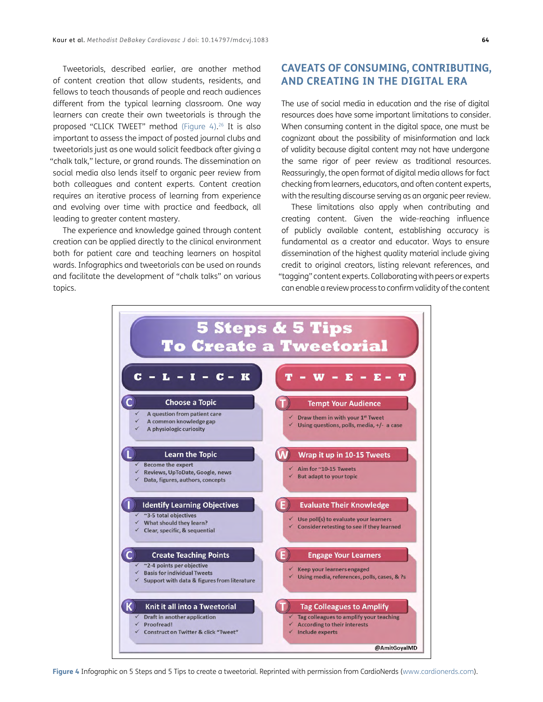Tweetorials, described earlier, are another method of content creation that allow students, residents, and fellows to teach thousands of people and reach audiences different from the typical learning classroom. One way learners can create their own tweetorials is through the proposed "CLICK TWEET" method ([Figure 4](#page-5-0)). 26 It is also important to assess the impact of posted journal clubs and tweetorials just as one would solicit feedback after giving a "chalk talk," lecture, or grand rounds. The dissemination on social media also lends itself to organic peer review from both colleagues and content experts. Content creation requires an iterative process of learning from experience and evolving over time with practice and feedback, all leading to greater content mastery.

The experience and knowledge gained through content creation can be applied directly to the clinical environment both for patient care and teaching learners on hospital wards. Infographics and tweetorials can be used on rounds and facilitate the development of "chalk talks" on various topics.

# **CAVEATS OF CONSUMING, CONTRIBUTING, AND CREATING IN THE DIGITAL ERA**

The use of social media in education and the rise of digital resources does have some important limitations to consider. When consuming content in the digital space, one must be cognizant about the possibility of misinformation and lack of validity because digital content may not have undergone the same rigor of peer review as traditional resources. Reassuringly, the open format of digital media allows for fact checking from learners, educators, and often content experts, with the resulting discourse serving as an organic peer review.

These limitations also apply when contributing and creating content. Given the wide-reaching influence of publicly available content, establishing accuracy is fundamental as a creator and educator. Ways to ensure dissemination of the highest quality material include giving credit to original creators, listing relevant references, and "tagging" content experts. Collaborating with peers or experts can enable a review process to confirm validity of the content

<span id="page-5-0"></span>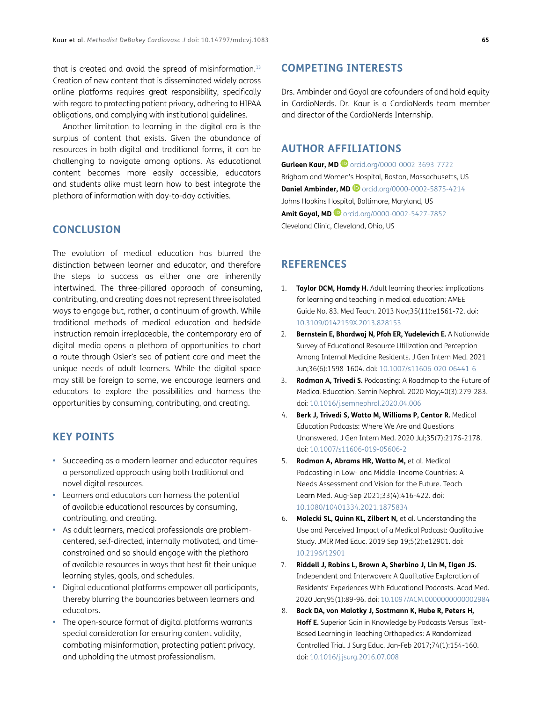that is created and avoid the spread of misinformation.<sup>13</sup> Creation of new content that is disseminated widely across online platforms requires great responsibility, specifically with regard to protecting patient privacy, adhering to HIPAA obligations, and complying with institutional guidelines.

Another limitation to learning in the digital era is the surplus of content that exists. Given the abundance of resources in both digital and traditional forms, it can be challenging to navigate among options. As educational content becomes more easily accessible, educators and students alike must learn how to best integrate the plethora of information with day-to-day activities.

#### **CONCLUSION**

The evolution of medical education has blurred the distinction between learner and educator, and therefore the steps to success as either one are inherently intertwined. The three-pillared approach of consuming, contributing, and creating does not represent three isolated ways to engage but, rather, a continuum of growth. While traditional methods of medical education and bedside instruction remain irreplaceable, the contemporary era of digital media opens a plethora of opportunities to chart a route through Osler's sea of patient care and meet the unique needs of adult learners. While the digital space may still be foreign to some, we encourage learners and educators to explore the possibilities and harness the opportunities by consuming, contributing, and creating.

## **KEY POINTS**

- **•**  Succeeding as a modern learner and educator requires a personalized approach using both traditional and novel digital resources.
- **•**  Learners and educators can harness the potential of available educational resources by consuming, contributing, and creating.
- **•**  As adult learners, medical professionals are problemcentered, self-directed, internally motivated, and timeconstrained and so should engage with the plethora of available resources in ways that best fit their unique learning styles, goals, and schedules.
- **•**  Digital educational platforms empower all participants, thereby blurring the boundaries between learners and educators.
- **•**  The open-source format of digital platforms warrants special consideration for ensuring content validity, combating misinformation, protecting patient privacy, and upholding the utmost professionalism.

## **COMPETING INTERESTS**

Drs. Ambinder and Goyal are cofounders of and hold equity in CardioNerds. Dr. Kaur is a CardioNerds team member and director of the CardioNerds Internship.

## <span id="page-6-0"></span>**AUTHOR AFFILIATIONS**

**Gurleen Kaur, MD** [orcid.org/0000-0002-3693-7722](https://orcid.org/0000-0002-3693-7722) Brigham and Women's Hospital, Boston, Massachusetts, US **Daniel Ambinder, MD <sup>D</sup>** [orcid.org/0000-0002-5875-4214](https://orcid.org/0000-0002-5875-4214) Johns Hopkins Hospital, Baltimore, Maryland, US **Amit Goyal, MD** [orcid.org/0000-0002-5427-7852](https://orcid.org/0000-0002-5427-7852) Cleveland Clinic, Cleveland, Ohio, US

## **REFERENCES**

- <span id="page-6-1"></span>1. **Taylor DCM, Hamdy H.** Adult learning theories: implications for learning and teaching in medical education: AMEE Guide No. 83. Med Teach. 2013 Nov;35(11):e1561-72. doi: [10.3109/0142159X.2013.828153](https://doi.org/10.3109/0142159X.2013.828153)
- <span id="page-6-2"></span>2. **Bernstein E, Bhardwaj N, Pfoh ER, Yudelevich E.** A Nationwide Survey of Educational Resource Utilization and Perception Among Internal Medicine Residents. J Gen Intern Med. 2021 Jun;36(6):1598-1604. doi: [10.1007/s11606-020-06441-6](https://doi.org/10.1007/s11606-020-06441-6)
- <span id="page-6-3"></span>3. **Rodman A, Trivedi S.** Podcasting: A Roadmap to the Future of Medical Education. Semin Nephrol. 2020 May;40(3):279-283. doi: [10.1016/j.semnephrol.2020.04.006](https://doi.org/10.1016/j.semnephrol.2020.04.006)
- <span id="page-6-4"></span>4. **Berk J, Trivedi S, Watto M, Williams P, Centor R.** Medical Education Podcasts: Where We Are and Questions Unanswered. J Gen Intern Med. 2020 Jul;35(7):2176-2178. doi: [10.1007/s11606-019-05606-2](https://doi.org/10.1007/s11606-019-05606-2)
- <span id="page-6-5"></span>5. **Rodman A, Abrams HR, Watto M,** et al. Medical Podcasting in Low- and Middle-Income Countries: A Needs Assessment and Vision for the Future. Teach Learn Med. Aug-Sep 2021;33(4):416-422. doi: [10.1080/10401334.2021.1875834](https://doi.org/10.1080/10401334.2021.1875834)
- <span id="page-6-6"></span>6. **Malecki SL, Quinn KL, Zilbert N,** et al. Understanding the Use and Perceived Impact of a Medical Podcast: Qualitative Study. JMIR Med Educ. 2019 Sep 19;5(2):e12901. doi: [10.2196/12901](https://doi.org/10.2196/12901)
- <span id="page-6-7"></span>7. **Riddell J, Robins L, Brown A, Sherbino J, Lin M, Ilgen JS.** Independent and Interwoven: A Qualitative Exploration of Residents' Experiences With Educational Podcasts. Acad Med. 2020 Jan;95(1):89-96. doi: [10.1097/ACM.0000000000002984](https://doi.org/10.1097/ACM.0000000000002984)
- <span id="page-6-8"></span>8. **Back DA, von Malotky J, Sostmann K, Hube R, Peters H, Hoff E.** Superior Gain in Knowledge by Podcasts Versus Text-Based Learning in Teaching Orthopedics: A Randomized Controlled Trial. J Surg Educ. Jan-Feb 2017;74(1):154-160. doi: [10.1016/j.jsurg.2016.07.008](https://doi.org/10.1016/j.jsurg.2016.07.008)